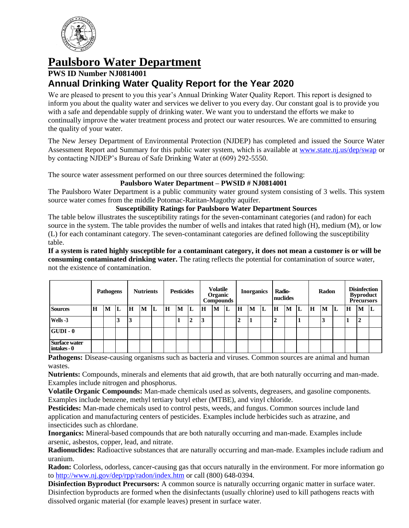

# **Paulsboro Water Department**

# **PWS ID Number NJ0814001 Annual Drinking Water Quality Report for the Year 2020**

We are pleased to present to you this year's Annual Drinking Water Quality Report. This report is designed to inform you about the quality water and services we deliver to you every day. Our constant goal is to provide you with a safe and dependable supply of drinking water. We want you to understand the efforts we make to continually improve the water treatment process and protect our water resources. We are committed to ensuring the quality of your water.

The New Jersey Department of Environmental Protection (NJDEP) has completed and issued the Source Water Assessment Report and Summary for this public water system, which is available at [www.state.nj.us/dep/swap](http://www.state.nj.us/dep/swap) or by contacting NJDEP's Bureau of Safe Drinking Water at (609) 292-5550.

The source water assessment performed on our three sources determined the following:

#### **Paulsboro Water Department – PWSID # NJ0814001**

The Paulsboro Water Department is a public community water ground system consisting of 3 wells. This system source water comes from the middle Potomac-Raritan-Magothy aquifer.

#### **Susceptibility Ratings for Paulsboro Water Department Sources**

The table below illustrates the susceptibility ratings for the seven-contaminant categories (and radon) for each source in the system. The table provides the number of wells and intakes that rated high (H), medium (M), or low (L) for each contaminant category. The seven-contaminant categories are defined following the susceptibility table.

**If a system is rated highly susceptible for a contaminant category, it does not mean a customer is or will be consuming contaminated drinking water.** The rating reflects the potential for contamination of source water, not the existence of contamination.

| Pathogens                           |   |   | <b>Nutrients</b> |   |   | <b>Pesticides</b> |   |   | <b>Volatile</b><br>Organic<br><b>Compounds</b> |                | <b>Inorganics</b> |   | Radio-<br>nuclides |   | Radon |                | <b>Disinfection</b><br><b>Byproduct</b><br><b>Precursors</b> |    |   |   |    |             |   |    |
|-------------------------------------|---|---|------------------|---|---|-------------------|---|---|------------------------------------------------|----------------|-------------------|---|--------------------|---|-------|----------------|--------------------------------------------------------------|----|---|---|----|-------------|---|----|
| <b>Sources</b>                      | H | M | L                | H | M | L                 | H | M | L                                              | H              | M                 | L | H                  | M | IL    | H              | M                                                            | 'L | H | M | ١L | $\mathbf H$ | M | ΙL |
| Wells -3                            |   |   | Ĵ                | 3 |   |                   |   |   | ↑<br>◢                                         | $\overline{3}$ |                   |   | ↑<br>◢             | л |       | $\overline{2}$ |                                                              |    |   | J |    |             | ◢ |    |
| $ GUDI - 0 $                        |   |   |                  |   |   |                   |   |   |                                                |                |                   |   |                    |   |       |                |                                                              |    |   |   |    |             |   |    |
| <b>Surface water</b><br>intakes - 0 |   |   |                  |   |   |                   |   |   |                                                |                |                   |   |                    |   |       |                |                                                              |    |   |   |    |             |   |    |

**Pathogens:** Disease-causing organisms such as bacteria and viruses. Common sources are animal and human wastes.

**Nutrients:** Compounds, minerals and elements that aid growth, that are both naturally occurring and man-made. Examples include nitrogen and phosphorus.

**Volatile Organic Compounds:** Man-made chemicals used as solvents, degreasers, and gasoline components. Examples include benzene, methyl tertiary butyl ether (MTBE), and vinyl chloride.

**Pesticides:** Man-made chemicals used to control pests, weeds, and fungus. Common sources include land application and manufacturing centers of pesticides. Examples include herbicides such as atrazine, and insecticides such as chlordane.

**Inorganics:** Mineral-based compounds that are both naturally occurring and man-made. Examples include arsenic, asbestos, copper, lead, and nitrate.

**Radionuclides:** Radioactive substances that are naturally occurring and man-made. Examples include radium and uranium.

**Radon:** Colorless, odorless, cancer-causing gas that occurs naturally in the environment. For more information go to<http://www.nj.gov/dep/rpp/radon/index.htm> or call (800) 648-0394.

**Disinfection Byproduct Precursors:** A common source is naturally occurring organic matter in surface water. Disinfection byproducts are formed when the disinfectants (usually chlorine) used to kill pathogens reacts with dissolved organic material (for example leaves) present in surface water.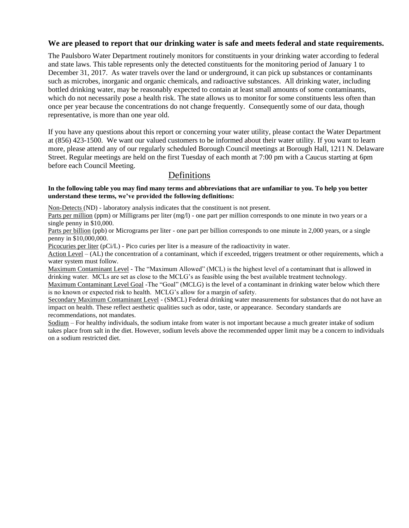#### **We are pleased to report that our drinking water is safe and meets federal and state requirements.**

The Paulsboro Water Department routinely monitors for constituents in your drinking water according to federal and state laws. This table represents only the detected constituents for the monitoring period of January 1 to December 31, 2017. As water travels over the land or underground, it can pick up substances or contaminants such as microbes, inorganic and organic chemicals, and radioactive substances. All drinking water, including bottled drinking water, may be reasonably expected to contain at least small amounts of some contaminants, which do not necessarily pose a health risk. The state allows us to monitor for some constituents less often than once per year because the concentrations do not change frequently. Consequently some of our data, though representative, is more than one year old.

If you have any questions about this report or concerning your water utility, please contact the Water Department at (856) 423-1500. We want our valued customers to be informed about their water utility. If you want to learn more, please attend any of our regularly scheduled Borough Council meetings at Borough Hall, 1211 N. Delaware Street. Regular meetings are held on the first Tuesday of each month at 7:00 pm with a Caucus starting at 6pm before each Council Meeting.

# Definitions

#### **In the following table you may find many terms and abbreviations that are unfamiliar to you. To help you better understand these terms, we've provided the following definitions:**

Non-Detects (ND) - laboratory analysis indicates that the constituent is not present.

Parts per million (ppm) or Milligrams per liter (mg/l) - one part per million corresponds to one minute in two years or a single penny in \$10,000.

Parts per billion (ppb) or Micrograms per liter - one part per billion corresponds to one minute in 2,000 years, or a single penny in \$10,000,000.

Picocuries per liter (pCi/L) - Pico curies per liter is a measure of the radioactivity in water.

Action Level – (AL) the concentration of a contaminant, which if exceeded, triggers treatment or other requirements, which a water system must follow.

Maximum Contaminant Level - The "Maximum Allowed" (MCL) is the highest level of a contaminant that is allowed in drinking water. MCLs are set as close to the MCLG's as feasible using the best available treatment technology.

Maximum Contaminant Level Goal -The "Goal" (MCLG) is the level of a contaminant in drinking water below which there is no known or expected risk to health. MCLG's allow for a margin of safety.

Secondary Maximum Contaminant Level - (SMCL) Federal drinking water measurements for substances that do not have an impact on health. These reflect aesthetic qualities such as odor, taste, or appearance. Secondary standards are recommendations, not mandates.

Sodium – For healthy individuals, the sodium intake from water is not important because a much greater intake of sodium takes place from salt in the diet. However, sodium levels above the recommended upper limit may be a concern to individuals on a sodium restricted diet.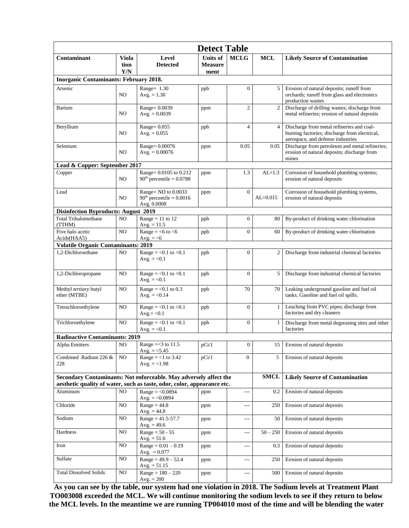|                                               |                |                                                                                                                                              | <b>Detect Table</b>                       |                                       |                |                                                                                                                                 |  |  |  |  |
|-----------------------------------------------|----------------|----------------------------------------------------------------------------------------------------------------------------------------------|-------------------------------------------|---------------------------------------|----------------|---------------------------------------------------------------------------------------------------------------------------------|--|--|--|--|
| <b>Viola</b><br>Contaminant<br>tion<br>Y/N    |                | Level<br><b>Detected</b>                                                                                                                     | <b>Units of</b><br><b>Measure</b><br>ment | <b>MCLG</b>                           | <b>MCL</b>     | <b>Likely Source of Contamination</b>                                                                                           |  |  |  |  |
| <b>Inorganic Contaminants: February 2018.</b> |                |                                                                                                                                              |                                           |                                       |                |                                                                                                                                 |  |  |  |  |
| Arsenic<br>NO.                                |                | Range= 1.30<br>$Avg. = 1.30$                                                                                                                 | ppb                                       | $\mathbf{0}$                          | 5              | Erosion of natural deposits; runoff from<br>orchards; runoff from glass and electronics<br>production wastes                    |  |  |  |  |
| Barium                                        | NO.            | Range= 0.0039<br>$Avg. = 0.0039$                                                                                                             | ppm                                       | $\overline{c}$                        | $\overline{2}$ | Discharge of drilling wastes; discharge from<br>metal refineries; erosion of natural deposits                                   |  |  |  |  |
| Beryllium                                     | NO.            | $Range = 0.055$<br>Avg. $= 0.055$                                                                                                            | ppb                                       | $\overline{4}$                        | $\overline{4}$ | Discharge from metal refineries and coal-<br>burning factories; discharge from electrical,<br>aerospace, and defense industries |  |  |  |  |
| Selenium                                      | NO.            | Range= 0.00076<br>Avg. $= 0.00076$                                                                                                           | ppm                                       | 0.05                                  | 0.05           | Discharge from petroleum and metal refineries;<br>erosion of natural deposits; discharge from<br>mines                          |  |  |  |  |
| Lead & Copper: September 2017                 |                |                                                                                                                                              |                                           |                                       |                |                                                                                                                                 |  |  |  |  |
| Copper                                        | NO.            | Range= 0.0105 to 0.212<br>$90th$ percentile = 0.0788                                                                                         | 1.3<br>ppm                                |                                       | $AL=1.3$       | Corrosion of household plumbing systems;<br>erosion of natural deposits                                                         |  |  |  |  |
| Lead<br>NO.                                   |                | Range= ND to 0.0033<br>$90th$ percentile = 0.0016<br>Avg. 0.0008                                                                             | ppm                                       | $\mathbf{0}$                          | $AL = 0.015$   | Corrosion of household plumbing systems,<br>erosion of natural deposits                                                         |  |  |  |  |
| <b>Disinfection Byproducts: August 2019</b>   |                |                                                                                                                                              |                                           |                                       |                |                                                                                                                                 |  |  |  |  |
| <b>Total Trihalomethane</b><br>(TTHM)         | N <sub>O</sub> | Range = $11$ to $12$<br>Avg. $= 11.5$                                                                                                        | ppb                                       | $\theta$                              | 80             | By-product of drinking water chlorination                                                                                       |  |  |  |  |
| Five halo acetic<br>Acids(HAA5)               | NO             | Range = $<$ 6 to $<$ 6<br>Avg. $=\leq 6$                                                                                                     | ppb                                       | $\boldsymbol{0}$                      | 60             | By-product of drinking water chlorination                                                                                       |  |  |  |  |
| <b>Volatile Organic Contaminants: 2019</b>    |                |                                                                                                                                              |                                           |                                       |                |                                                                                                                                 |  |  |  |  |
| 1,2-Dichloroethane                            | NO.            | Range = $< 0.1$ to $< 0.1$<br>Avg. $= <0.1$                                                                                                  | ppb                                       | $\overline{0}$                        | 2              | Discharge from industrial chemical factories                                                                                    |  |  |  |  |
| 1,2-Dichloropropane                           | N <sub>O</sub> | Range = $< 0.1$ to $< 0.1$<br>Avg. $= < 0.1$                                                                                                 | ppb                                       | $\mathbf{0}$                          | 5              | Discharge from industrial chemical factories                                                                                    |  |  |  |  |
| Methyl tertiary butyl<br>ether (MTBE)         | NO             | Range = $< 0.1$ to 0.3<br>Avg. $= <0.14$                                                                                                     | ppb                                       | 70                                    | 70             | Leaking underground gasoline and fuel oil<br>tanks. Gasoline and fuel oil spills.                                               |  |  |  |  |
| Tetrachloroethylene                           | NO.            | Range = $< 0.1$ to $< 0.1$<br>$Avg = < 0.1$                                                                                                  | ppb                                       | $\mathbf{0}$                          | $\mathbf{1}$   | Leaching from PVC pipes; discharge from<br>factories and dry cleaners                                                           |  |  |  |  |
| Trichloroethylene                             | N <sub>O</sub> | Range = $< 0.1$ to $< 0.1$<br>Avg. $= <0.1$                                                                                                  | ppb                                       | $\mathbf{0}$                          | 1              | Discharge from metal degreasing sites and other<br>factories                                                                    |  |  |  |  |
| <b>Radioactive Contaminants: 2019</b>         |                |                                                                                                                                              |                                           |                                       |                |                                                                                                                                 |  |  |  |  |
| Alpha Emitters                                | $\rm NO$       | Range $=<$ 3 to 11.5<br>Avg. $=$ <5.45                                                                                                       | pCi/1                                     | $\mathbf{0}$                          | 15 I           | Erosion of natural deposits                                                                                                     |  |  |  |  |
| Combined Radium 226 &<br>228                  | NO.            | Range = $<$ 1 to 3.42<br>Avg. $= <1.98$                                                                                                      | pCi/1                                     | $\overline{0}$                        | 5              | Erosion of natural deposits                                                                                                     |  |  |  |  |
|                                               |                | Secondary Contaminants: Not enforceable. May adversely affect the<br>aesthetic quality of water, such as taste, odor, color, appearance etc. | <b>SMCL</b>                               | <b>Likely Source of Contamination</b> |                |                                                                                                                                 |  |  |  |  |
| Aluminum                                      | NO.            | $Range = <0.0894$<br>Avg. $= <0.0894$                                                                                                        | ppm                                       | $\overline{a}$                        | 0.2            | Erosion of natural deposits                                                                                                     |  |  |  |  |
| Chloride                                      | NO             | $Range = 44.8$<br>Avg. $= 44.8$                                                                                                              | ppm                                       | ---                                   | 250            | Erosion of natural deposits                                                                                                     |  |  |  |  |
| Sodium                                        | NO.            | $Range = 41.5 - 57.7$<br>Avg. $= 49.6$                                                                                                       | ppm                                       | ---                                   | 50             | Erosion of natural deposits                                                                                                     |  |  |  |  |
| Hardness                                      | NO             | $Range = 50 - 55$<br>Avg. $= 51.6$                                                                                                           | ppm                                       | ---                                   | $50 - 250$     | Erosion of natural deposits                                                                                                     |  |  |  |  |
| Iron                                          | NO             | $Range = 0.01 - 0.19$<br>Avg. $= 0.077$                                                                                                      | ppm                                       | ---                                   | 0.3            | Erosion of natural deposits                                                                                                     |  |  |  |  |
| Sulfate                                       | NO             | $Range = 49.9 - 52.4$<br>Avg. $= 51.15$                                                                                                      | ppm                                       | ---                                   | 250            | Erosion of natural deposits                                                                                                     |  |  |  |  |
| <b>Total Dissolved Solids</b>                 | NO.            | $Range = 180 - 220$<br>$Avg. = 200$                                                                                                          | ppm                                       | $\overline{a}$                        | 500            | Erosion of natural deposits                                                                                                     |  |  |  |  |

**As you can see by the table, our system had one violation in 2018. The Sodium levels at Treatment Plant TO003008 exceeded the MCL. We will continue monitoring the sodium levels to see if they return to below the MCL levels. In the meantime we are running TP004010 most of the time and will be blending the water**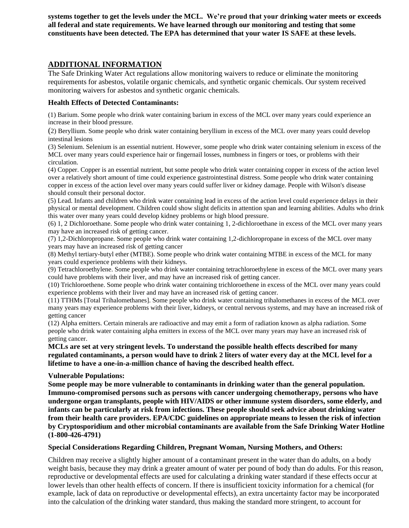**systems together to get the levels under the MCL. We're proud that your drinking water meets or exceeds all federal and state requirements. We have learned through our monitoring and testing that some constituents have been detected. The EPA has determined that your water IS SAFE at these levels.** 

### **ADDITIONAL INFORMATION**

The Safe Drinking Water Act regulations allow monitoring waivers to reduce or eliminate the monitoring requirements for asbestos, volatile organic chemicals, and synthetic organic chemicals. Our system received monitoring waivers for asbestos and synthetic organic chemicals.

#### **Health Effects of Detected Contaminants:**

(1) Barium. Some people who drink water containing barium in excess of the MCL over many years could experience an increase in their blood pressure.

(2) Beryllium. Some people who drink water containing beryllium in excess of the MCL over many years could develop intestinal lesions

(3) Selenium. Selenium is an essential nutrient. However, some people who drink water containing selenium in excess of the MCL over many years could experience hair or fingernail losses, numbness in fingers or toes, or problems with their circulation.

(4) Copper. Copper is an essential nutrient, but some people who drink water containing copper in excess of the action level over a relatively short amount of time could experience gastrointestinal distress. Some people who drink water containing copper in excess of the action level over many years could suffer liver or kidney damage. People with Wilson's disease should consult their personal doctor.

(5) Lead. Infants and children who drink water containing lead in excess of the action level could experience delays in their physical or mental development. Children could show slight deficits in attention span and learning abilities. Adults who drink this water over many years could develop kidney problems or high blood pressure.

(6) 1, 2 Dichloroethane. Some people who drink water containing 1, 2-dichloroethane in excess of the MCL over many years may have an increased risk of getting cancer.

(7) 1,2-Dichloropropane. Some people who drink water containing 1,2-dichloropropane in excess of the MCL over many years may have an increased risk of getting cancer

(8) Methyl tertiary-butyl ether (MTBE). Some people who drink water containing MTBE in excess of the MCL for many years could experience problems with their kidneys.

(9) Tetrachloroethylene. Some people who drink water containing tetrachloroethylene in excess of the MCL over many years could have problems with their liver, and may have an increased risk of getting cancer.

(10) Trichloroethene. Some people who drink water containing trichloroethene in excess of the MCL over many years could experience problems with their liver and may have an increased risk of getting cancer.

(11) TTHMs [Total Trihalomethanes]. Some people who drink water containing trihalomethanes in excess of the MCL over many years may experience problems with their liver, kidneys, or central nervous systems, and may have an increased risk of getting cancer

(12) Alpha emitters. Certain minerals are radioactive and may emit a form of radiation known as alpha radiation. Some people who drink water containing alpha emitters in excess of the MCL over many years may have an increased risk of getting cancer.

**MCLs are set at very stringent levels. To understand the possible health effects described for many regulated contaminants, a person would have to drink 2 liters of water every day at the MCL level for a lifetime to have a one-in-a-million chance of having the described health effect.**

#### **Vulnerable Populations:**

**Some people may be more vulnerable to contaminants in drinking water than the general population. Immuno-compromised persons such as persons with cancer undergoing chemotherapy, persons who have undergone organ transplants, people with HIV/AIDS or other immune system disorders, some elderly, and infants can be particularly at risk from infections. These people should seek advice about drinking water from their health care providers. EPA/CDC guidelines on appropriate means to lessen the risk of infection by Cryptosporidium and other microbial contaminants are available from the Safe Drinking Water Hotline (1-800-426-4791)**

#### **Special Considerations Regarding Children, Pregnant Woman, Nursing Mothers, and Others:**

Children may receive a slightly higher amount of a contaminant present in the water than do adults, on a body weight basis, because they may drink a greater amount of water per pound of body than do adults. For this reason, reproductive or developmental effects are used for calculating a drinking water standard if these effects occur at lower levels than other health effects of concern. If there is insufficient toxicity information for a chemical (for example, lack of data on reproductive or developmental effects), an extra uncertainty factor may be incorporated into the calculation of the drinking water standard, thus making the standard more stringent, to account for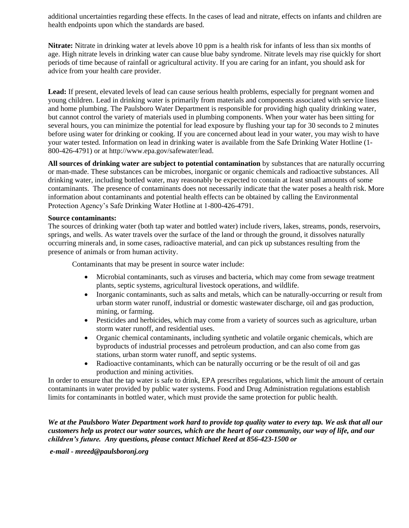additional uncertainties regarding these effects. In the cases of lead and nitrate, effects on infants and children are health endpoints upon which the standards are based.

**Nitrate:** Nitrate in drinking water at levels above 10 ppm is a health risk for infants of less than six months of age. High nitrate levels in drinking water can cause blue baby syndrome. Nitrate levels may rise quickly for short periods of time because of rainfall or agricultural activity. If you are caring for an infant, you should ask for advice from your health care provider.

Lead: If present, elevated levels of lead can cause serious health problems, especially for pregnant women and young children. Lead in drinking water is primarily from materials and components associated with service lines and home plumbing. The Paulsboro Water Department is responsible for providing high quality drinking water, but cannot control the variety of materials used in plumbing components. When your water has been sitting for several hours, you can minimize the potential for lead exposure by flushing your tap for 30 seconds to 2 minutes before using water for drinking or cooking. If you are concerned about lead in your water, you may wish to have your water tested. Information on lead in drinking water is available from the Safe Drinking Water Hotline (1- 800-426-4791) or at http://www.epa.gov/safewater/lead.

**All sources of drinking water are subject to potential contamination** by substances that are naturally occurring or man-made. These substances can be microbes, inorganic or organic chemicals and radioactive substances. All drinking water, including bottled water, may reasonably be expected to contain at least small amounts of some contaminants. The presence of contaminants does not necessarily indicate that the water poses a health risk. More information about contaminants and potential health effects can be obtained by calling the Environmental Protection Agency's Safe Drinking Water Hotline at 1-800-426-4791.

#### **Source contaminants:**

The sources of drinking water (both tap water and bottled water) include rivers, lakes, streams, ponds, reservoirs, springs, and wells. As water travels over the surface of the land or through the ground, it dissolves naturally occurring minerals and, in some cases, radioactive material, and can pick up substances resulting from the presence of animals or from human activity.

Contaminants that may be present in source water include:

- Microbial contaminants, such as viruses and bacteria, which may come from sewage treatment plants, septic systems, agricultural livestock operations, and wildlife.
- Inorganic contaminants, such as salts and metals, which can be naturally-occurring or result from urban storm water runoff, industrial or domestic wastewater discharge, oil and gas production, mining, or farming.
- Pesticides and herbicides, which may come from a variety of sources such as agriculture, urban storm water runoff, and residential uses.
- Organic chemical contaminants, including synthetic and volatile organic chemicals, which are byproducts of industrial processes and petroleum production, and can also come from gas stations, urban storm water runoff, and septic systems.
- Radioactive contaminants, which can be naturally occurring or be the result of oil and gas production and mining activities.

In order to ensure that the tap water is safe to drink, EPA prescribes regulations, which limit the amount of certain contaminants in water provided by public water systems. Food and Drug Administration regulations establish limits for contaminants in bottled water, which must provide the same protection for public health.

*We at the Paulsboro Water Department work hard to provide top quality water to every tap. We ask that all our customers help us protect our water sources, which are the heart of our community, our way of life, and our children's future. Any questions, please contact Michael Reed at 856-423-1500 or* 

*e-mail - mreed@paulsboronj.org*